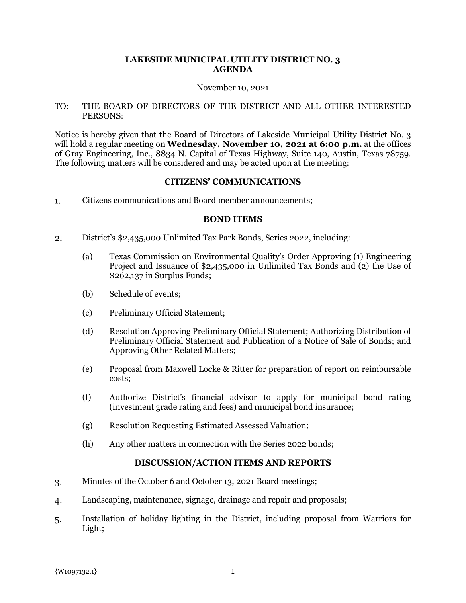## **LAKESIDE MUNICIPAL UTILITY DISTRICT NO. 3 AGENDA**

#### November 10, 2021

### TO: THE BOARD OF DIRECTORS OF THE DISTRICT AND ALL OTHER INTERESTED PERSONS:

Notice is hereby given that the Board of Directors of Lakeside Municipal Utility District No. 3 will hold a regular meeting on **Wednesday, November 10, 2021 at 6:00 p.m.** at the offices of Gray Engineering, Inc., 8834 N. Capital of Texas Highway, Suite 140, Austin, Texas 78759. The following matters will be considered and may be acted upon at the meeting:

#### **CITIZENS' COMMUNICATIONS**

 $1.$ Citizens communications and Board member announcements;

#### **BOND ITEMS**

- $2.$ District's \$2,435,000 Unlimited Tax Park Bonds, Series 2022, including:
	- (a) Texas Commission on Environmental Quality's Order Approving (1) Engineering Project and Issuance of \$2,435,000 in Unlimited Tax Bonds and (2) the Use of \$262,137 in Surplus Funds;
	- (b) Schedule of events;
	- (c) Preliminary Official Statement;
	- (d) Resolution Approving Preliminary Official Statement; Authorizing Distribution of Preliminary Official Statement and Publication of a Notice of Sale of Bonds; and Approving Other Related Matters;
	- (e) Proposal from Maxwell Locke & Ritter for preparation of report on reimbursable costs;
	- (f) Authorize District's financial advisor to apply for municipal bond rating (investment grade rating and fees) and municipal bond insurance;
	- (g) Resolution Requesting Estimated Assessed Valuation;
	- (h) Any other matters in connection with the Series 2022 bonds;

# **DISCUSSION/ACTION ITEMS AND REPORTS**

- Minutes of the October 6 and October 13, 2021 Board meetings; 3.
- Landscaping, maintenance, signage, drainage and repair and proposals;  $\mathbf{4}$
- 5. Installation of holiday lighting in the District, including proposal from Warriors for Light;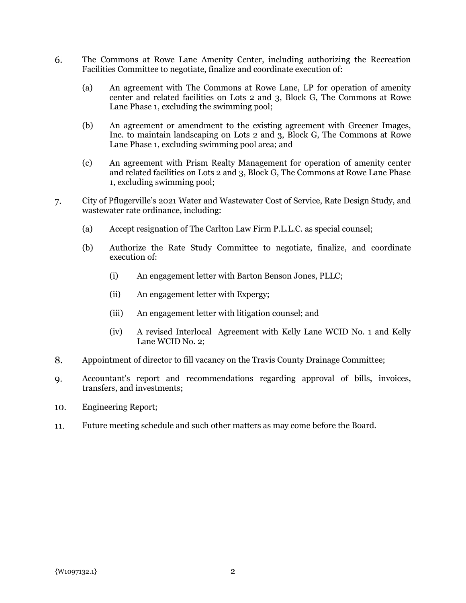- 6. The Commons at Rowe Lane Amenity Center, including authorizing the Recreation Facilities Committee to negotiate, finalize and coordinate execution of:
	- (a) An agreement with The Commons at Rowe Lane, LP for operation of amenity center and related facilities on Lots 2 and 3, Block G, The Commons at Rowe Lane Phase 1, excluding the swimming pool;
	- (b) An agreement or amendment to the existing agreement with Greener Images, Inc. to maintain landscaping on Lots 2 and 3, Block G, The Commons at Rowe Lane Phase 1, excluding swimming pool area; and
	- (c) An agreement with Prism Realty Management for operation of amenity center and related facilities on Lots 2 and 3, Block G, The Commons at Rowe Lane Phase 1, excluding swimming pool;
- City of Pflugerville's 2021 Water and Wastewater Cost of Service, Rate Design Study, and 7. wastewater rate ordinance, including:
	- (a) Accept resignation of The Carlton Law Firm P.L.L.C. as special counsel;
	- (b) Authorize the Rate Study Committee to negotiate, finalize, and coordinate execution of:
		- (i) An engagement letter with Barton Benson Jones, PLLC;
		- (ii) An engagement letter with Expergy;
		- (iii) An engagement letter with litigation counsel; and
		- (iv) A revised Interlocal Agreement with Kelly Lane WCID No. 1 and Kelly Lane WCID No. 2;
- 8. Appointment of director to fill vacancy on the Travis County Drainage Committee;
- Accountant's report and recommendations regarding approval of bills, invoices, 9. transfers, and investments;
- Engineering Report; 10.
- Future meeting schedule and such other matters as may come before the Board.11.